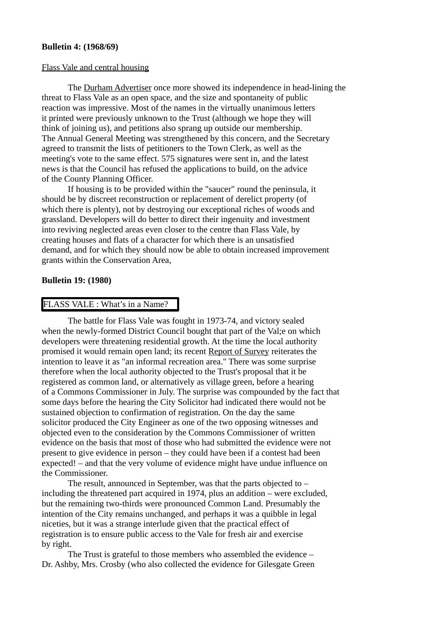#### **Bulletin 4: (1968/69)**

#### Flass Vale and central housing

The Durham Advertiser once more showed its independence in head-lining the threat to Flass Vale as an open space, and the size and spontaneity of public reaction was impressive. Most of the names in the virtually unanimous letters it printed were previously unknown to the Trust (although we hope they will think of joining us), and petitions also sprang up outside our membership. The Annual General Meeting was strengthened by this concern, and the Secretary agreed to transmit the lists of petitioners to the Town Clerk, as well as the meeting's vote to the same effect. 575 signatures were sent in, and the latest news is that the Council has refused the applications to build, on the advice of the County Planning Officer.

If housing is to be provided within the "saucer" round the peninsula, it should be by discreet reconstruction or replacement of derelict property (of which there is plenty), not by destroying our exceptional riches of woods and grassland. Developers will do better to direct their ingenuity and investment into reviving neglected areas even closer to the centre than Flass Vale, by creating houses and flats of a character for which there is an unsatisfied demand, and for which they should now be able to obtain increased improvement grants within the Conservation Area,

#### **Bulletin 19: (1980)**

## FLASS VALE : What's in a Name?

The battle for Flass Vale was fought in 1973-74, and victory sealed when the newly-formed District Council bought that part of the Val;e on which developers were threatening residential growth. At the time the local authority promised it would remain open land; its recent Report of Survey reiterates the intention to leave it as "an informal recreation area." There was some surprise therefore when the local authority objected to the Trust's proposal that it be registered as common land, or alternatively as village green, before a hearing of a Commons Commissioner in July. The surprise was compounded by the fact that some days before the hearing the City Solicitor had indicated there would not be sustained objection to confirmation of registration. On the day the same solicitor produced the City Engineer as one of the two opposing witnesses and objected even to the consideration by the Commons Commissioner of written evidence on the basis that most of those who had submitted the evidence were not present to give evidence in person – they could have been if a contest had been expected! – and that the very volume of evidence might have undue influence on the Commissioner.

The result, announced in September, was that the parts objected to – including the threatened part acquired in 1974, plus an addition – were excluded, but the remaining two-thirds were pronounced Common Land. Presumably the intention of the City remains unchanged, and perhaps it was a quibble in legal niceties, but it was a strange interlude given that the practical effect of registration is to ensure public access to the Vale for fresh air and exercise by right.

The Trust is grateful to those members who assembled the evidence – Dr. Ashby, Mrs. Crosby (who also collected the evidence for Gilesgate Green